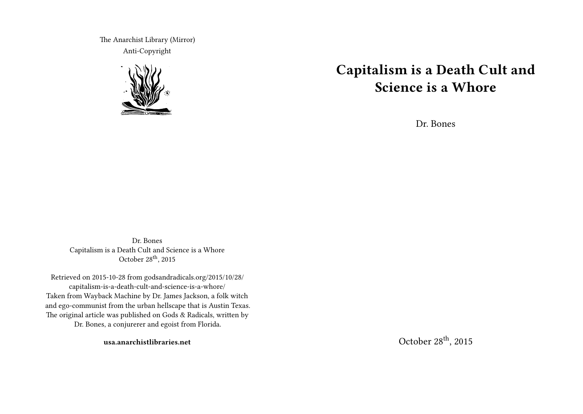The Anarchist Library (Mirror) Anti-Copyright



# **Capitalism is a Death Cult and Science is a Whore**

Dr. Bones

Dr. Bones Capitalism is a Death Cult and Science is a Whore October 28<sup>th</sup>, 2015

Retrieved on 2015-10-28 from godsandradicals.org/2015/10/28/ capitalism-is-a-death-cult-and-science-is-a-whore/ Taken from Wayback Machine by Dr. James Jackson, a folk witch and ego-communist from the urban hellscape that is Austin Texas. The original article was published on Gods & Radicals, written by Dr. Bones, a conjurerer and egoist from Florida.

**usa.anarchistlibraries.net**

October 28th, 2015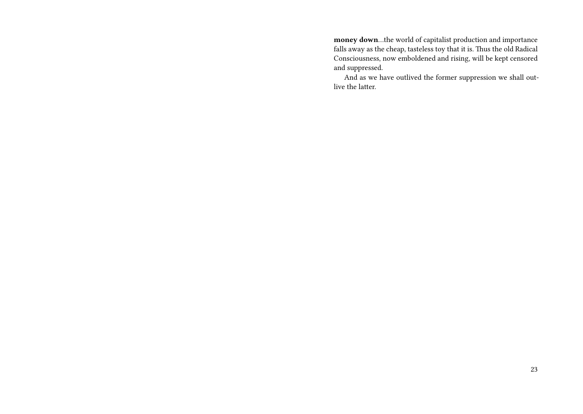**money down**…the world of capitalist production and importance falls away as the cheap, tasteless toy that it is. Thus the old Radical Consciousness, now emboldened and rising, will be kept censored and suppressed.

And as we have outlived the former suppression we shall outlive the latter.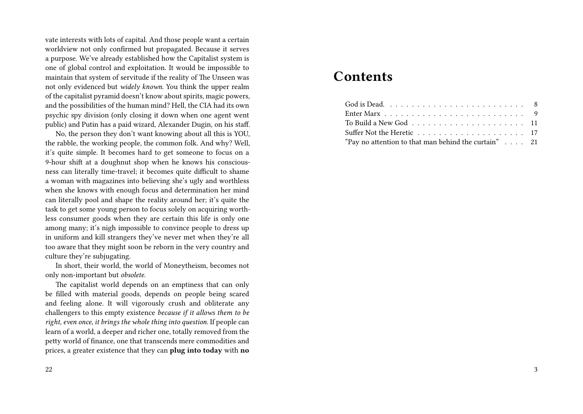vate interests with lots of capital. And those people want a certain worldview not only confirmed but propagated. Because it serves a purpose. We've already established how the Capitalist system is one of global control and exploitation. It would be impossible to maintain that system of servitude if the reality of The Unseen was not only evidenced but *widely known*. You think the upper realm of the capitalist pyramid doesn't know about spirits, magic powers, and the possibilities of the human mind? Hell, the CIA had its own psychic spy division (only closing it down when one agent went public) and Putin has a paid wizard, Alexander Dugin, on his staff.

No, the person they don't want knowing about all this is YOU, the rabble, the working people, the common folk. And why? Well, it's quite simple. It becomes hard to get someone to focus on a 9-hour shift at a doughnut shop when he knows his consciousness can literally time-travel; it becomes quite difficult to shame a woman with magazines into believing she's ugly and worthless when she knows with enough focus and determination her mind can literally pool and shape the reality around her; it's quite the task to get some young person to focus solely on acquiring worthless consumer goods when they are certain this life is only one among many; it's nigh impossible to convince people to dress up in uniform and kill strangers they've never met when they're all too aware that they might soon be reborn in the very country and culture they're subjugating.

In short, their world, the world of Moneytheism, becomes not only non-important but *obsolete*.

The capitalist world depends on an emptiness that can only be filled with material goods, depends on people being scared and feeling alone. It will vigorously crush and obliterate any challengers to this empty existence *because if it allows them to be right, even once, it brings the whole thing into question.* If people can learn of a world, a deeper and richer one, totally removed from the petty world of finance, one that transcends mere commodities and prices, a greater existence that they can **plug into today** with **no**

# **Contents**

| Enter Marx $\ldots \ldots \ldots \ldots \ldots \ldots \ldots \ldots \ldots$ |  |
|-----------------------------------------------------------------------------|--|
|                                                                             |  |
|                                                                             |  |
| "Pay no attention to that man behind the curtain" $\ldots$ 21               |  |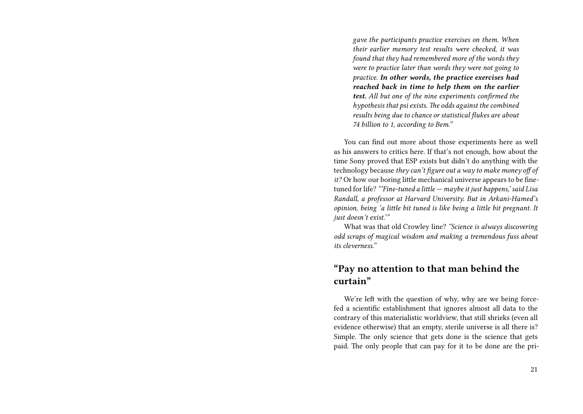*gave the participants practice exercises on them. When their earlier memory test results were checked, it was found that they had remembered more of the words they were to practice later than words they were not going to practice. In other words, the practice exercises had reached back in time to help them on the earlier test. All but one of the nine experiments confirmed the hypothesis that psi exists. The odds against the combined results being due to chance or statistical flukes are about 74 billion to 1, according to Bem."*

You can find out more about those experiments here as well as his answers to critics here. If that's not enough, how about the time Sony proved that ESP exists but didn't do anything with the technology because *they can't figure out a way to make money off of it?* Or how our boring little mechanical universe appears to be finetuned for life? *"'Fine-tuned a little — maybe it just happens,' said Lisa Randall, a professor at Harvard University. But in Arkani-Hamed's opinion, being 'a little bit tuned is like being a little bit pregnant. It just doesn't exist.'"*

What was that old Crowley line? *"Science is always discovering odd scraps of magical wisdom and making a tremendous fuss about its cleverness."*

## **"Pay no attention to that man behind the curtain"**

We're left with the question of why, why are we being forcefed a scientific establishment that ignores almost all data to the contrary of this materialistic worldview, that still shrieks (even all evidence otherwise) that an empty, sterile universe is all there is? Simple. The only science that gets done is the science that gets paid. The only people that can pay for it to be done are the pri-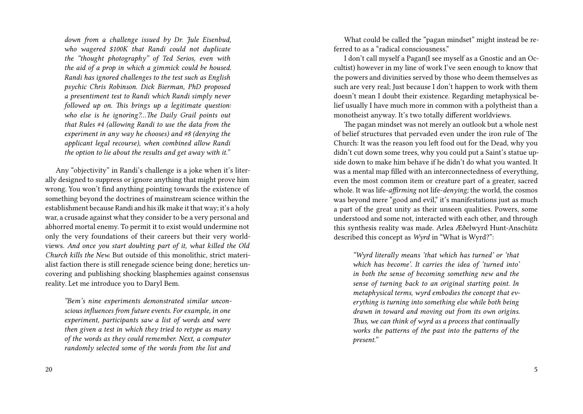*down from a challenge issued by Dr. Jule Eisenbud, who wagered \$100K that Randi could not duplicate the "thought photography" of Ted Serios, even with the aid of a prop in which a gimmick could be housed. Randi has ignored challenges to the test such as English psychic Chris Robinson. Dick Bierman, PhD proposed a presentiment test to Randi which Randi simply never followed up on. This brings up a legitimate question: who else is he ignoring?…The Daily Grail points out that Rules #4 (allowing Randi to use the data from the experiment in any way he chooses) and #8 (denying the applicant legal recourse), when combined allow Randi the option to lie about the results and get away with it."*

Any "objectivity" in Randi's challenge is a joke when it's literally designed to suppress or ignore anything that might prove him wrong. You won't find anything pointing towards the existence of something beyond the doctrines of mainstream science within the establishment because Randi and his ilk make it that way; it's a holy war, a crusade against what they consider to be a very personal and abhorred mortal enemy. To permit it to exist would undermine not only the very foundations of their careers but their very worldviews. *And once you start doubting part of it, what killed the Old Church kills the New.* But outside of this monolithic, strict materialist faction there is still renegade science being done; heretics uncovering and publishing shocking blasphemies against consensus reality. Let me introduce you to Daryl Bem.

*"Bem's nine experiments demonstrated similar unconscious influences from future events. For example, in one experiment, participants saw a list of words and were then given a test in which they tried to retype as many of the words as they could remember. Next, a computer randomly selected some of the words from the list and*

What could be called the "pagan mindset" might instead be referred to as a "radical consciousness."

I don't call myself a Pagan(I see myself as a Gnostic and an Occultist) however in my line of work I've seen enough to know that the powers and divinities served by those who deem themselves as such are very real; Just because I don't happen to work with them doesn't mean I doubt their existence. Regarding metaphysical belief usually I have much more in common with a polytheist than a monotheist anyway. It's two totally different worldviews.

The pagan mindset was not merely an outlook but a whole nest of belief structures that pervaded even under the iron rule of The Church: It was the reason you left food out for the Dead, why you didn't cut down some trees, why you could put a Saint's statue upside down to make him behave if he didn't do what you wanted. It was a mental map filled with an interconnectedness of everything, even the most common item or creature part of a greater, sacred whole. It was life-*affirming* not life-*denying;* the world, the cosmos was beyond mere "good and evil," it's manifestations just as much a part of the great unity as their unseen qualities. Powers, some understood and some not, interacted with each other, and through this synthesis reality was made. Arlea Æðelwyrd Hunt-Anschütz described this concept as *Wyrd* in "What is Wyrd?":

*"Wyrd literally means 'that which has turned' or 'that which has become'. It carries the idea of 'turned into' in both the sense of becoming something new and the sense of turning back to an original starting point. In metaphysical terms, wyrd embodies the concept that everything is turning into something else while both being drawn in toward and moving out from its own origins. Thus, we can think of wyrd as a process that continually works the patterns of the past into the patterns of the present."*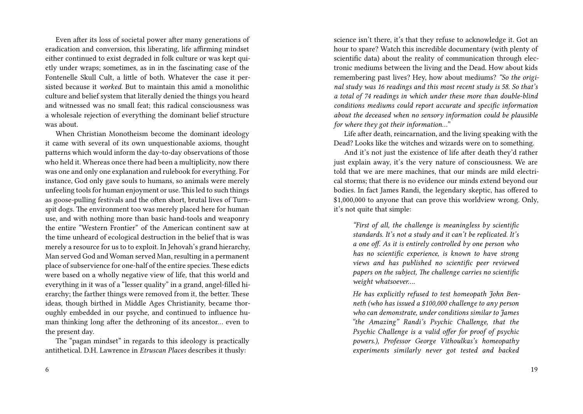Even after its loss of societal power after many generations of eradication and conversion, this liberating, life affirming mindset either continued to exist degraded in folk culture or was kept quietly under wraps; sometimes, as in in the fascinating case of the Fontenelle Skull Cult, a little of both. Whatever the case it persisted because it *worked.* But to maintain this amid a monolithic culture and belief system that literally denied the things you heard and witnessed was no small feat; this radical consciousness was a wholesale rejection of everything the dominant belief structure was about.

When Christian Monotheism become the dominant ideology it came with several of its own unquestionable axioms, thought patterns which would inform the day-to-day observations of those who held it. Whereas once there had been a multiplicity, now there was one and only one explanation and rulebook for everything. For instance, God only gave souls to humans, so animals were merely unfeeling tools for human enjoyment or use. This led to such things as goose-pulling festivals and the often short, brutal lives of Turnspit dogs. The environment too was merely placed here for human use, and with nothing more than basic hand-tools and weaponry the entire "Western Frontier" of the American continent saw at the time unheard of ecological destruction in the belief that is was merely a resource for us to to exploit. In Jehovah's grand hierarchy, Man served God and Woman served Man, resulting in a permanent place of subservience for one-half of the entire species. These edicts were based on a wholly negative view of life, that this world and everything in it was of a "lesser quality" in a grand, angel-filled hierarchy; the farther things were removed from it, the better. These ideas, though birthed in Middle Ages Christianity, became thoroughly embedded in our psyche, and continued to influence human thinking long after the dethroning of its ancestor… even to the present day.

The "pagan mindset" in regards to this ideology is practically antithetical. D.H. Lawrence in *Etruscan Places* describes it thusly:

science isn't there, it's that they refuse to acknowledge it. Got an hour to spare? Watch this incredible documentary (with plenty of scientific data) about the reality of communication through electronic mediums between the living and the Dead. How about kids remembering past lives? Hey, how about mediums? *"So the original study was 16 readings and this most recent study is 58. So that's a total of 74 readings in which under these more than double-blind conditions mediums could report accurate and specific information about the deceased when no sensory information could be plausible for where they got their information…"*

Life after death, reincarnation, and the living speaking with the Dead? Looks like the witches and wizards were on to something.

And it's not just the existence of life after death they'd rather just explain away, it's the very nature of consciousness. We are told that we are mere machines, that our minds are mild electrical storms; that there is no evidence our minds extend beyond our bodies. In fact James Randi, the legendary skeptic, has offered to \$1,000,000 to anyone that can prove this worldview wrong. Only, it's not quite that simple:

*"First of all, the challenge is meaningless by scientific standards. It's not a study and it can't be replicated. It's a one off. As it is entirely controlled by one person who has no scientific experience, is known to have strong views and has published no scientific peer reviewed papers on the subject, The challenge carries no scientific weight whatsoever….*

*He has explicitly refused to test homeopath John Benneth (who has issued a \$100,000 challenge to any person who can demonstrate, under conditions similar to James "the Amazing" Randi's Psychic Challenge, that the Psychic Challenge is a valid offer for proof of psychic powers.), Professor George Vithoulkas's homeopathy experiments similarly never got tested and backed*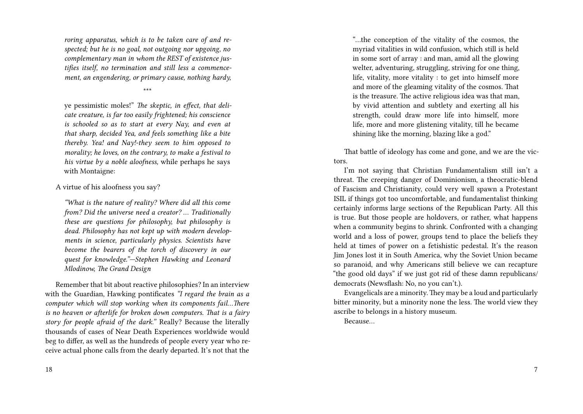*roring apparatus, which is to be taken care of and respected; but he is no goal, not outgoing nor upgoing, no complementary man in whom the REST of existence justifies itself, no termination and still less a commencement, an engendering, or primary cause, nothing hardy,*

\*\*\*

ye pessimistic moles!" *The skeptic, in effect, that delicate creature, is far too easily frightened; his conscience is schooled so as to start at every Nay, and even at that sharp, decided Yea, and feels something like a bite thereby. Yea! and Nay!-they seem to him opposed to morality; he loves, on the contrary, to make a festival to his virtue by a noble aloofness,* while perhaps he says with Montaigne:

A virtue of his aloofness you say?

*"What is the nature of reality? Where did all this come from? Did the universe need a creator? … Traditionally these are questions for philosophy, but philosophy is dead. Philosophy has not kept up with modern developments in science, particularly physics. Scientists have become the bearers of the torch of discovery in our quest for knowledge."—Stephen Hawking and Leonard Mlodinow, The Grand Design*

Remember that bit about reactive philosophies? In an interview with the Guardian, Hawking pontificates *"I regard the brain as a computer which will stop working when its components fail…There is no heaven or afterlife for broken down computers. That is a fairy story for people afraid of the dark."* Really? Because the literally thousands of cases of Near Death Experiences worldwide would beg to differ, as well as the hundreds of people every year who receive actual phone calls from the dearly departed. It's not that the

"…the conception of the vitality of the cosmos, the myriad vitalities in wild confusion, which still is held in some sort of array : and man, amid all the glowing welter, adventuring, struggling, striving for one thing, life, vitality, more vitality : to get into himself more and more of the gleaming vitality of the cosmos. That is the treasure. The active religious idea was that man, by vivid attention and subtlety and exerting all his strength, could draw more life into himself, more life, more and more glistening vitality, till he became shining like the morning, blazing like a god."

That battle of ideology has come and gone, and we are the victors.

I'm not saying that Christian Fundamentalism still isn't a threat. The creeping danger of Dominionism, a theocratic-blend of Fascism and Christianity, could very well spawn a Protestant ISIL if things got too uncomfortable, and fundamentalist thinking certainly informs large sections of the Republican Party. All this is true. But those people are holdovers, or rather, what happens when a community begins to shrink. Confronted with a changing world and a loss of power, groups tend to place the beliefs they held at times of power on a fetishistic pedestal. It's the reason Jim Jones lost it in South America, why the Soviet Union became so paranoid, and why Americans still believe we can recapture "the good old days" if we just got rid of these damn republicans/ democrats (Newsflash: No, no you can't.).

Evangelicals are a minority. They may be a loud and particularly bitter minority, but a minority none the less. The world view they ascribe to belongs in a history museum.

Because…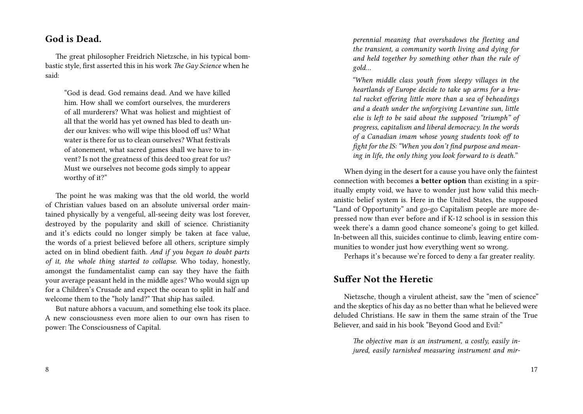#### 8

# **God is Dead.**

The great philosopher Freidrich Nietzsche, in his typical bombastic style, first asserted this in his work *The Gay Science* when he said:

"God is dead. God remains dead. And we have killed him. How shall we comfort ourselves, the murderers of all murderers? What was holiest and mightiest of all that the world has yet owned has bled to death under our knives: who will wipe this blood off us? What water is there for us to clean ourselves? What festivals of atonement, what sacred games shall we have to invent? Is not the greatness of this deed too great for us? Must we ourselves not become gods simply to appear worthy of it?"

The point he was making was that the old world, the world of Christian values based on an absolute universal order maintained physically by a vengeful, all-seeing deity was lost forever, destroyed by the popularity and skill of science. Christianity and it's edicts could no longer simply be taken at face value, the words of a priest believed before all others, scripture simply acted on in blind obedient faith. *And if you began to doubt parts of it, the whole thing started to collapse.* Who today, honestly, amongst the fundamentalist camp can say they have the faith your average peasant held in the middle ages? Who would sign up for a Children's Crusade and expect the ocean to split in half and welcome them to the "holy land?" That ship has sailed.

But nature abhors a vacuum, and something else took its place. A new consciousness even more alien to our own has risen to power: The Consciousness of Capital.

*perennial meaning that overshadows the fleeting and the transient, a community worth living and dying for and held together by something other than the rule of gold…*

*"When middle class youth from sleepy villages in the heartlands of Europe decide to take up arms for a brutal racket offering little more than a sea of beheadings and a death under the unforgiving Levantine sun, little else is left to be said about the supposed "triumph" of progress, capitalism and liberal democracy. In the words of a Canadian imam whose young students took off to fight for the IS: "When you don't find purpose and meaning in life, the only thing you look forward to is death."*

When dying in the desert for a cause you have only the faintest connection with becomes **a better option** than existing in a spiritually empty void, we have to wonder just how valid this mechanistic belief system is. Here in the United States, the supposed "Land of Opportunity" and go-go Capitalism people are more depressed now than ever before and if K-12 school is in session this week there's a damn good chance someone's going to get killed. In-between all this, suicides continue to climb, leaving entire communities to wonder just how everything went so wrong.

Perhaps it's because we're forced to deny a far greater reality.

## **Suffer Not the Heretic**

Nietzsche, though a virulent atheist, saw the "men of science" and the skeptics of his day as no better than what he believed were deluded Christians. He saw in them the same strain of the True Believer, and said in his book "Beyond Good and Evil:"

*The objective man is an instrument, a costly, easily injured, easily tarnished measuring instrument and mir-*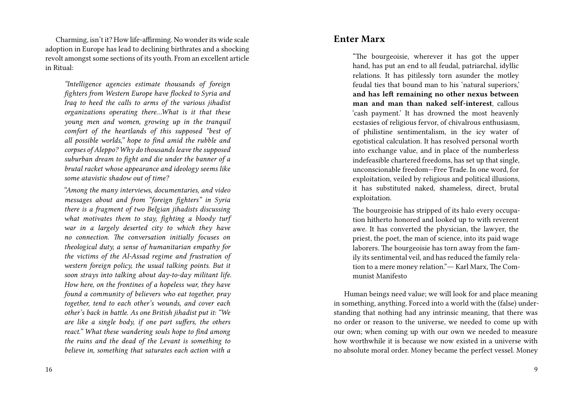Charming, isn't it? How life-affirming. No wonder its wide scale adoption in Europe has lead to declining birthrates and a shocking revolt amongst some sections of its youth. From an excellent article in Ritual:

*"Intelligence agencies estimate thousands of foreign fighters from Western Europe have flocked to Syria and Iraq to heed the calls to arms of the various jihadist organizations operating there…What is it that these young men and women, growing up in the tranquil comfort of the heartlands of this supposed "best of all possible worlds," hope to find amid the rubble and corpses of Aleppo? Why do thousands leave the supposed suburban dream to fight and die under the banner of a brutal racket whose appearance and ideology seems like some atavistic shadow out of time?*

*"Among the many interviews, documentaries, and video messages about and from "foreign fighters" in Syria there is a fragment of two Belgian jihadists discussing what motivates them to stay, fighting a bloody turf war in a largely deserted city to which they have no connection. The conversation initially focuses on theological duty, a sense of humanitarian empathy for the victims of the Al-Assad regime and frustration of western foreign policy, the usual talking points. But it soon strays into talking about day-to-day militant life. How here, on the frontines of a hopeless war, they have found a community of believers who eat together, pray together, tend to each other's wounds, and cover each other's back in battle. As one British jihadist put it: "We are like a single body, if one part suffers, the others react." What these wandering souls hope to find among the ruins and the dead of the Levant is something to believe in, something that saturates each action with a*

#### **Enter Marx**

"The bourgeoisie, wherever it has got the upper hand, has put an end to all feudal, patriarchal, idyllic relations. It has pitilessly torn asunder the motley feudal ties that bound man to his 'natural superiors,' **and has left remaining no other nexus between man and man than naked self-interest**, callous 'cash payment.' It has drowned the most heavenly ecstasies of religious fervor, of chivalrous enthusiasm, of philistine sentimentalism, in the icy water of egotistical calculation. It has resolved personal worth into exchange value, and in place of the numberless indefeasible chartered freedoms, has set up that single, unconscionable freedom—Free Trade. In one word, for exploitation, veiled by religious and political illusions, it has substituted naked, shameless, direct, brutal exploitation.

The bourgeoisie has stripped of its halo every occupation hitherto honored and looked up to with reverent awe. It has converted the physician, the lawyer, the priest, the poet, the man of science, into its paid wage laborers. The bourgeoisie has torn away from the family its sentimental veil, and has reduced the family relation to a mere money relation."― Karl Marx, The Communist Manifesto

Human beings need value; we will look for and place meaning in something, anything. Forced into a world with the (false) understanding that nothing had any intrinsic meaning, that there was no order or reason to the universe, we needed to come up with our own; when coming up with our own we needed to measure how worthwhile it is because we now existed in a universe with no absolute moral order. Money became the perfect vessel. Money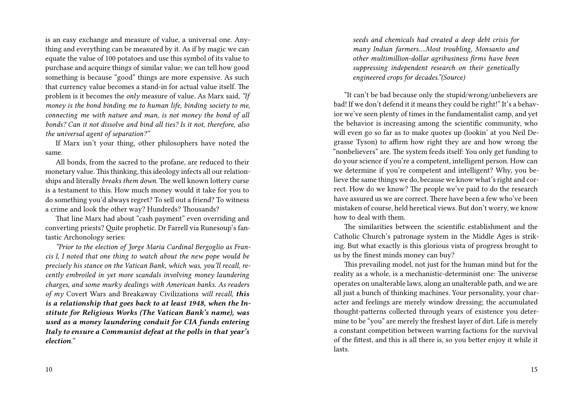is an easy exchange and measure of value, a universal one. Anything and everything can be measured by it. As if by magic we can equate the value of 100 potatoes and use this symbol of its value to purchase and acquire things of similar value; we can tell how good something is because "good" things are more expensive. As such that currency value becomes a stand-in for actual value itself. The problem is it becomes the *only* measure of value. As Marx said, *"If money is the bond binding me to human life, binding society to me, connecting me with nature and man, is not money the bond of all bonds? Can it not dissolve and bind all ties? Is it not, therefore, also the universal agent of separation?"*

If Marx isn't your thing, other philosophers have noted the same.

All bonds, from the sacred to the profane, are reduced to their monetary value. This thinking, this ideology infects all our relationships and literally *breaks them down.* The well known lottery curse is a testament to this. How much money would it take for you to do something you'd always regret? To sell out a friend? To witness a crime and look the other way? Hundreds? Thousands?

That line Marx had about "cash payment" even overriding and converting priests? Quite prophetic. Dr Farrell via Runesoup's fantastic Archonology series:

*"Prior to the election of Jorge Maria Cardinal Bergoglio as Francis I, I noted that one thing to watch about the new pope would be precisely his stance on the Vatican Bank, which was, you'll recall, recently embroiled in yet more scandals involving money laundering charges, and some murky dealings with American banks. As readers of my* Covert Wars and Breakaway Civilizations *will recall, this is a relationship that goes back to at least 1948, when the Institute for Religious Works (The Vatican Bank's name), was used as a money laundering conduit for CIA funds entering Italy to ensure a Communist defeat at the polls in that year's election."*

*seeds and chemicals had created a deep debt crisis for many Indian farmers….Most troubling, Monsanto and other multimillion-dollar agribusiness firms have been suppressing independent research on their genetically engineered crops for decades."(Source)*

"It can't be bad because only the stupid/wrong/unbelievers are bad! If we don't defend it it means they could be right!" It's a behavior we've seen plenty of times in the fundamentalist camp, and yet the behavior is increasing among the scientific community, who will even go so far as to make quotes up (lookin' at you Neil Degrasse Tyson) to affirm how right they are and how wrong the "nonbelievers" are. The system feeds itself: You only get funding to do your science if you're a competent, intelligent person. How can we determine if you're competent and intelligent? Why, you believe the same things we do, because we know what's right and correct. How do we know? The people we've paid to do the research have assured us we are correct. There have been a few who've been mistaken of course, held heretical views. But don't worry, we know how to deal with them.

The similarities between the scientific establishment and the Catholic Church's patronage system in the Middle Ages is striking. But what exactly is this glorious vista of progress brought to us by the finest minds money can buy?

This prevailing model, not just for the human mind but for the reality as a whole, is a mechanistic-determinist one: The universe operates on unalterable laws, along an unalterable path, and we are all just a bunch of thinking machines. Your personality, your character and feelings are merely window dressing; the accumulated thought-patterns collected through years of existence you determine to be "you" are merely the freshest layer of dirt. Life is merely a constant competition between warring factions for the survival of the fittest, and this is all there is, so you better enjoy it while it lasts.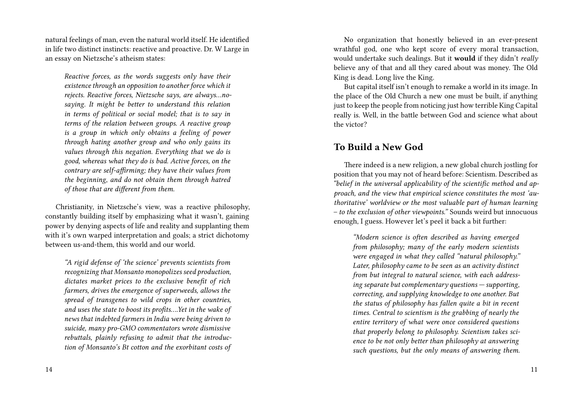natural feelings of man, even the natural world itself. He identified in life two distinct instincts: reactive and proactive. Dr. W Large in an essay on Nietzsche's atheism states:

*Reactive forces, as the words suggests only have their existence through an opposition to another force which it rejects. Reactive forces, Nietzsche says, are always…nosaying. It might be better to understand this relation in terms of political or social model; that is to say in terms of the relation between groups. A reactive group is a group in which only obtains a feeling of power through hating another group and who only gains its values through this negation. Everything that we do is good, whereas what they do is bad. Active forces, on the contrary are self-affirming; they have their values from the beginning, and do not obtain them through hatred of those that are different from them.*

Christianity, in Nietzsche's view, was a reactive philosophy, constantly building itself by emphasizing what it wasn't, gaining power by denying aspects of life and reality and supplanting them with it's own warped interpretation and goals; a strict dichotomy between us-and-them, this world and our world.

*"A rigid defense of 'the science' prevents scientists from recognizing that Monsanto monopolizes seed production, dictates market prices to the exclusive benefit of rich farmers, drives the emergence of superweeds, allows the spread of transgenes to wild crops in other countries, and uses the state to boost its profits….Yet in the wake of news that indebted farmers in India were being driven to suicide, many pro-GMO commentators wrote dismissive rebuttals, plainly refusing to admit that the introduction of Monsanto's Bt cotton and the exorbitant costs of*

No organization that honestly believed in an ever-present wrathful god, one who kept score of every moral transaction, would undertake such dealings. But it **would** if they didn't *really* believe any of that and all they cared about was money. The Old King is dead. Long live the King.

But capital itself isn't enough to remake a world in its image. In the place of the Old Church a new one must be built, if anything just to keep the people from noticing just how terrible King Capital really is. Well, in the battle between God and science what about the victor?

### **To Build a New God**

There indeed is a new religion, a new global church jostling for position that you may not of heard before: Scientism. Described as *"belief in the universal applicability of the scientific method and approach, and the view that empirical science constitutes the most 'authoritative' worldview or the most valuable part of human learning – to the exclusion of other viewpoints."* Sounds weird but innocuous enough, I guess. However let's peel it back a bit further:

*"Modern science is often described as having emerged from philosophy; many of the early modern scientists were engaged in what they called "natural philosophy." Later, philosophy came to be seen as an activity distinct from but integral to natural science, with each addressing separate but complementary questions — supporting, correcting, and supplying knowledge to one another. But the status of philosophy has fallen quite a bit in recent times. Central to scientism is the grabbing of nearly the entire territory of what were once considered questions that properly belong to philosophy. Scientism takes science to be not only better than philosophy at answering such questions, but the only means of answering them.*